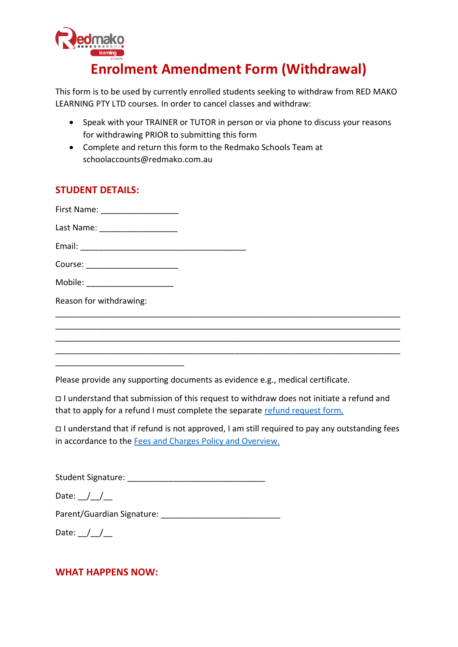

## **Enrolment Amendment Form (Withdrawal)**

This form is to be used by currently enrolled students seeking to withdraw from RED MAKO LEARNING PTY LTD courses. In order to cancel classes and withdraw:

- Speak with your TRAINER or TUTOR in person or via phone to discuss your reasons for withdrawing PRIOR to submitting this form
- Complete and return this form to the Redmako Schools Team at schoolaccounts@redmako.com.au

## **STUDENT DETAILS:**

| First Name: _____________________ |  |  |
|-----------------------------------|--|--|
| Last Name: _____________________  |  |  |
|                                   |  |  |
| Course: _______________________   |  |  |
|                                   |  |  |
| Reason for withdrawing:           |  |  |
|                                   |  |  |
|                                   |  |  |
|                                   |  |  |
|                                   |  |  |

Please provide any supporting documents as evidence e.g., medical certificate.

□ I understand that submission of this request to withdraw does not initiate a refund and that to apply for a refund I must complete the separate [refund request form.](https://redmako.com.au/wp-content/uploads/2020/12/Refund-Request.pdf) 

□ I understand that if refund is not approved, I am still required to pay any outstanding fees in accordance to the [Fees and Charges Policy and Overview.](https://redmako.com.au/policies-fees-and-forms/fees-and-charges-policy-2/)

Student Signature: \_\_\_\_\_\_\_\_\_\_\_\_\_\_\_\_\_\_\_\_\_\_\_\_\_\_\_\_\_\_

Date:  $/$  /

Parent/Guardian Signature: \_\_\_\_\_\_\_\_\_\_\_\_\_\_\_\_\_\_\_\_\_\_\_\_\_\_

Date:  $/$  /

## **WHAT HAPPENS NOW:**